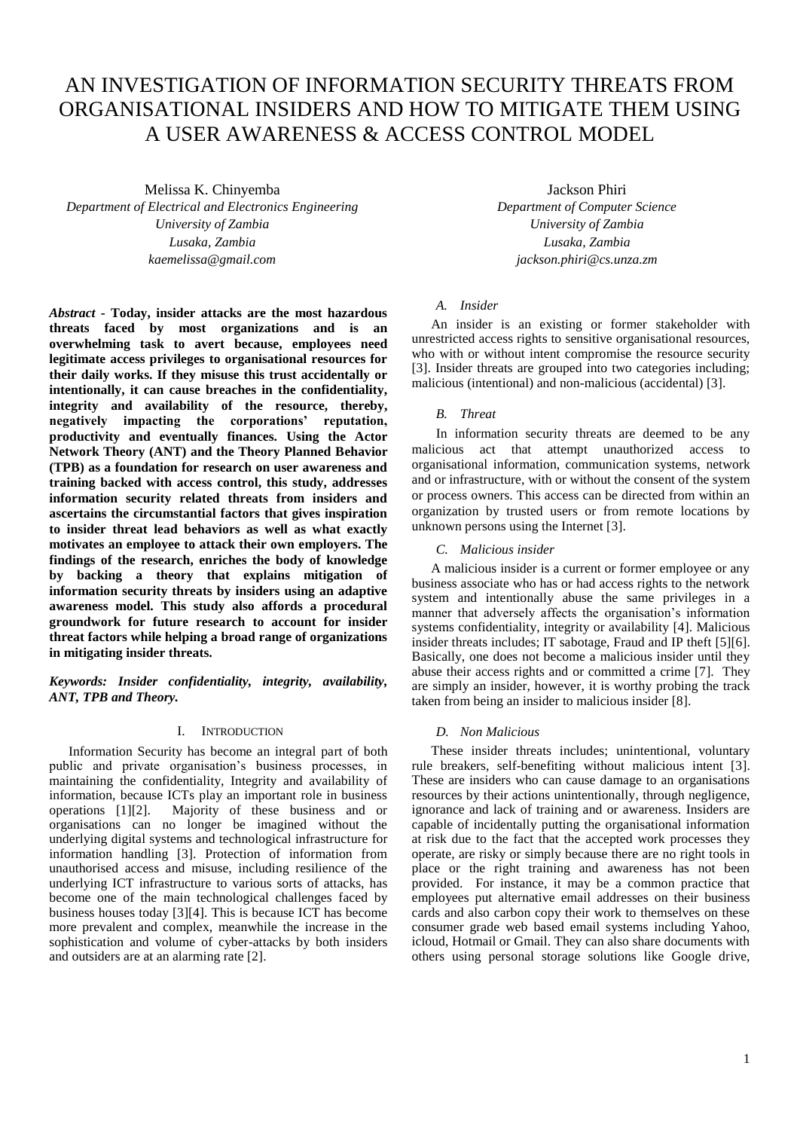# AN INVESTIGATION OF INFORMATION SECURITY THREATS FROM ORGANISATIONAL INSIDERS AND HOW TO MITIGATE THEM USING A USER AWARENESS & ACCESS CONTROL MODEL

Melissa K. Chinyemba *Department of Electrical and Electronics Engineering University of Zambia Lusaka, Zambia kaemelissa@gmail.com*

*Abstract* **- Today, insider attacks are the most hazardous threats faced by most organizations and is an overwhelming task to avert because, employees need legitimate access privileges to organisational resources for their daily works. If they misuse this trust accidentally or intentionally, it can cause breaches in the confidentiality, integrity and availability of the resource, thereby, negatively impacting the corporations' reputation, productivity and eventually finances. Using the Actor Network Theory (ANT) and the Theory Planned Behavior (TPB) as a foundation for research on user awareness and training backed with access control, this study, addresses information security related threats from insiders and ascertains the circumstantial factors that gives inspiration to insider threat lead behaviors as well as what exactly motivates an employee to attack their own employers. The findings of the research, enriches the body of knowledge by backing a theory that explains mitigation of information security threats by insiders using an adaptive awareness model. This study also affords a procedural groundwork for future research to account for insider threat factors while helping a broad range of organizations in mitigating insider threats.**

*Keywords: Insider confidentiality, integrity, availability, ANT, TPB and Theory.*

# I. INTRODUCTION

Information Security has become an integral part of both public and private organisation's business processes, in maintaining the confidentiality, Integrity and availability of information, because ICTs play an important role in business operations [1][2]. Majority of these business and or organisations can no longer be imagined without the underlying digital systems and technological infrastructure for information handling [3]. Protection of information from unauthorised access and misuse, including resilience of the underlying ICT infrastructure to various sorts of attacks, has become one of the main technological challenges faced by business houses today [3][4]. This is because ICT has become more prevalent and complex, meanwhile the increase in the sophistication and volume of cyber-attacks by both insiders and outsiders are at an alarming rate [2].

Jackson Phiri *Department of Computer Science University of Zambia Lusaka, Zambia jackson.phiri@cs.unza.zm*

# *A. Insider*

An insider is an existing or former stakeholder with unrestricted access rights to sensitive organisational resources, who with or without intent compromise the resource security [3]. Insider threats are grouped into two categories including; malicious (intentional) and non-malicious (accidental) [3].

#### *B. Threat*

In information security threats are deemed to be any malicious act that attempt unauthorized access to organisational information, communication systems, network and or infrastructure, with or without the consent of the system or process owners. This access can be directed from within an organization by trusted users or from remote locations by unknown persons using the Internet [3].

*C. Malicious insider* 

A malicious insider is a current or former employee or any business associate who has or had access rights to the network system and intentionally abuse the same privileges in a manner that adversely affects the organisation's information systems confidentiality, integrity or availability [4]. Malicious insider threats includes; IT sabotage, Fraud and IP theft [5][6]. Basically, one does not become a malicious insider until they abuse their access rights and or committed a crime [7]. They are simply an insider, however, it is worthy probing the track taken from being an insider to malicious insider [8].

## *D. Non Malicious*

These insider threats includes; unintentional, voluntary rule breakers, self-benefiting without malicious intent [3]. These are insiders who can cause damage to an organisations resources by their actions unintentionally, through negligence, ignorance and lack of training and or awareness. Insiders are capable of incidentally putting the organisational information at risk due to the fact that the accepted work processes they operate, are risky or simply because there are no right tools in place or the right training and awareness has not been provided. For instance, it may be a common practice that employees put alternative email addresses on their business cards and also carbon copy their work to themselves on these consumer grade web based email systems including Yahoo, icloud, Hotmail or Gmail. They can also share documents with others using personal storage solutions like Google drive,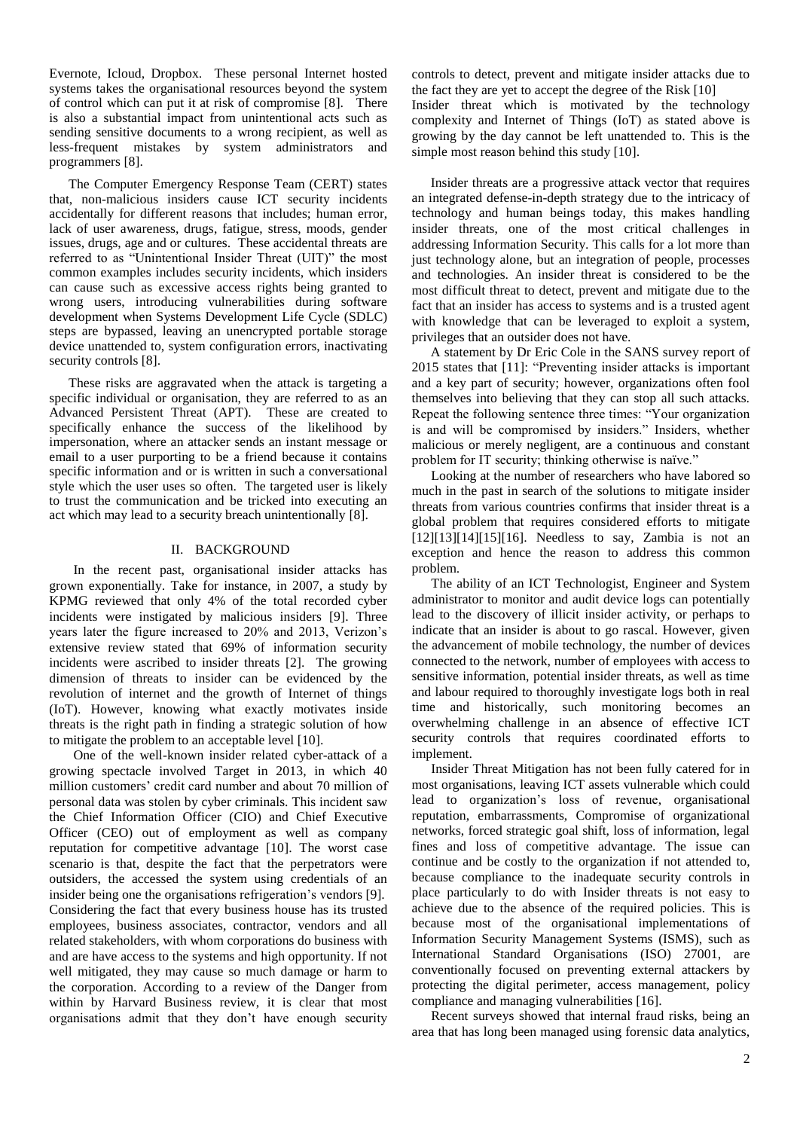Evernote, Icloud, Dropbox. These personal Internet hosted systems takes the organisational resources beyond the system of control which can put it at risk of compromise [8]. There is also a substantial impact from unintentional acts such as sending sensitive documents to a wrong recipient, as well as less-frequent mistakes by system administrators and programmers [8].

The Computer Emergency Response Team (CERT) states that, non-malicious insiders cause ICT security incidents accidentally for different reasons that includes; human error, lack of user awareness, drugs, fatigue, stress, moods, gender issues, drugs, age and or cultures. These accidental threats are referred to as "Unintentional Insider Threat (UIT)" the most common examples includes security incidents, which insiders can cause such as excessive access rights being granted to wrong users, introducing vulnerabilities during software development when Systems Development Life Cycle (SDLC) steps are bypassed, leaving an unencrypted portable storage device unattended to, system configuration errors, inactivating security controls [8].

These risks are aggravated when the attack is targeting a specific individual or organisation, they are referred to as an Advanced Persistent Threat (APT). These are created to specifically enhance the success of the likelihood by impersonation, where an attacker sends an instant message or email to a user purporting to be a friend because it contains specific information and or is written in such a conversational style which the user uses so often. The targeted user is likely to trust the communication and be tricked into executing an act which may lead to a security breach unintentionally [8].

## II. BACKGROUND

In the recent past, organisational insider attacks has grown exponentially. Take for instance, in 2007, a study by KPMG reviewed that only 4% of the total recorded cyber incidents were instigated by malicious insiders [9]. Three years later the figure increased to 20% and 2013, Verizon's extensive review stated that 69% of information security incidents were ascribed to insider threats [2]. The growing dimension of threats to insider can be evidenced by the revolution of internet and the growth of Internet of things (IoT). However, knowing what exactly motivates inside threats is the right path in finding a strategic solution of how to mitigate the problem to an acceptable level [10].

One of the well-known insider related cyber-attack of a growing spectacle involved Target in 2013, in which 40 million customers' credit card number and about 70 million of personal data was stolen by cyber criminals. This incident saw the Chief Information Officer (CIO) and Chief Executive Officer (CEO) out of employment as well as company reputation for competitive advantage [10]. The worst case scenario is that, despite the fact that the perpetrators were outsiders, the accessed the system using credentials of an insider being one the organisations refrigeration's vendors [9]. Considering the fact that every business house has its trusted employees, business associates, contractor, vendors and all related stakeholders, with whom corporations do business with and are have access to the systems and high opportunity. If not well mitigated, they may cause so much damage or harm to the corporation. According to a review of the Danger from within by Harvard Business review, it is clear that most organisations admit that they don't have enough security controls to detect, prevent and mitigate insider attacks due to the fact they are yet to accept the degree of the Risk [10] Insider threat which is motivated by the technology complexity and Internet of Things (IoT) as stated above is growing by the day cannot be left unattended to. This is the simple most reason behind this study [10].

Insider threats are a progressive attack vector that requires an integrated defense-in-depth strategy due to the intricacy of technology and human beings today, this makes handling insider threats, one of the most critical challenges in addressing Information Security. This calls for a lot more than just technology alone, but an integration of people, processes and technologies. An insider threat is considered to be the most difficult threat to detect, prevent and mitigate due to the fact that an insider has access to systems and is a trusted agent with knowledge that can be leveraged to exploit a system, privileges that an outsider does not have.

A statement by Dr Eric Cole in the SANS survey report of 2015 states that [11]: "Preventing insider attacks is important and a key part of security; however, organizations often fool themselves into believing that they can stop all such attacks. Repeat the following sentence three times: "Your organization is and will be compromised by insiders." Insiders, whether malicious or merely negligent, are a continuous and constant problem for IT security; thinking otherwise is naïve."

Looking at the number of researchers who have labored so much in the past in search of the solutions to mitigate insider threats from various countries confirms that insider threat is a global problem that requires considered efforts to mitigate  $[12][13][14][15][16]$ . Needless to say, Zambia is not an exception and hence the reason to address this common problem.

The ability of an ICT Technologist, Engineer and System administrator to monitor and audit device logs can potentially lead to the discovery of illicit insider activity, or perhaps to indicate that an insider is about to go rascal. However, given the advancement of mobile technology, the number of devices connected to the network, number of employees with access to sensitive information, potential insider threats, as well as time and labour required to thoroughly investigate logs both in real time and historically, such monitoring becomes an overwhelming challenge in an absence of effective ICT security controls that requires coordinated efforts to implement.

Insider Threat Mitigation has not been fully catered for in most organisations, leaving ICT assets vulnerable which could lead to organization's loss of revenue, organisational reputation, embarrassments, Compromise of organizational networks, forced strategic goal shift, loss of information, legal fines and loss of competitive advantage. The issue can continue and be costly to the organization if not attended to, because compliance to the inadequate security controls in place particularly to do with Insider threats is not easy to achieve due to the absence of the required policies. This is because most of the organisational implementations of Information Security Management Systems (ISMS), such as International Standard Organisations (ISO) 27001, are conventionally focused on preventing external attackers by protecting the digital perimeter, access management, policy compliance and managing vulnerabilities [16].

Recent surveys showed that internal fraud risks, being an area that has long been managed using forensic data analytics,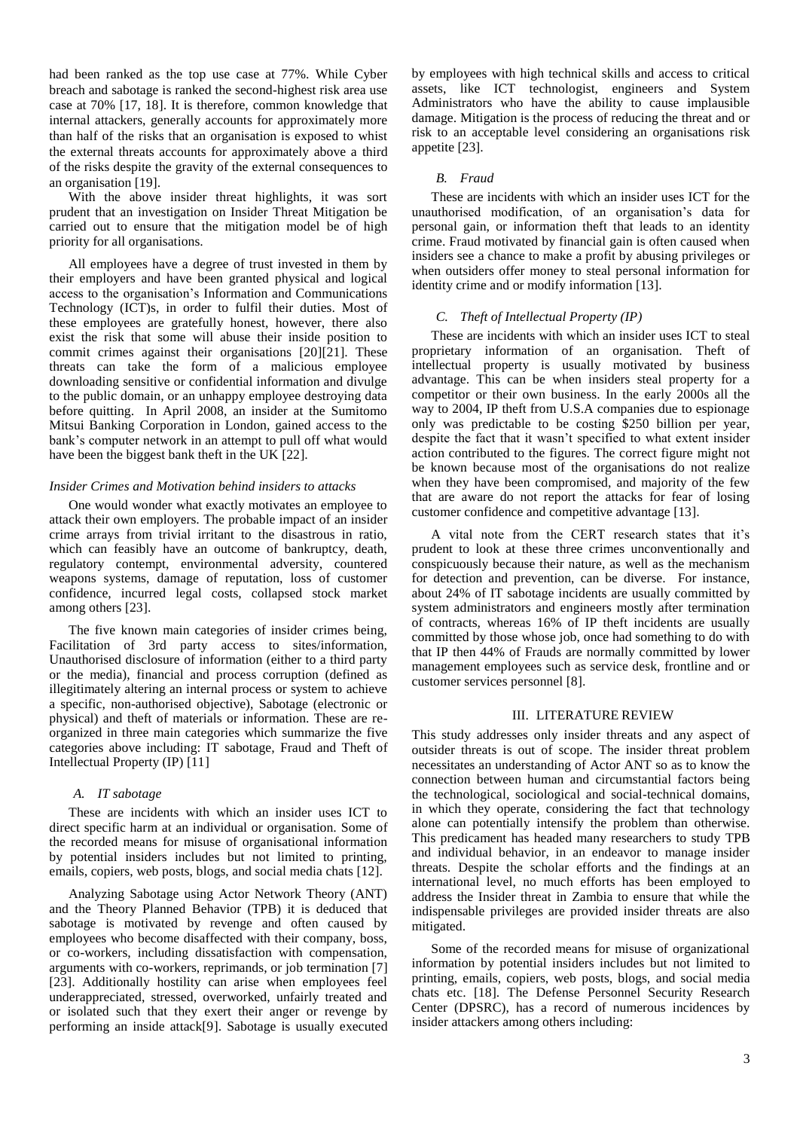had been ranked as the top use case at 77%. While Cyber breach and sabotage is ranked the second-highest risk area use case at 70% [17, 18]. It is therefore, common knowledge that internal attackers, generally accounts for approximately more than half of the risks that an organisation is exposed to whist the external threats accounts for approximately above a third of the risks despite the gravity of the external consequences to an organisation [19].

With the above insider threat highlights, it was sort prudent that an investigation on Insider Threat Mitigation be carried out to ensure that the mitigation model be of high priority for all organisations.

All employees have a degree of trust invested in them by their employers and have been granted physical and logical access to the organisation's Information and Communications Technology (ICT)s, in order to fulfil their duties. Most of these employees are gratefully honest, however, there also exist the risk that some will abuse their inside position to commit crimes against their organisations [20][21]. These threats can take the form of a malicious employee downloading sensitive or confidential information and divulge to the public domain, or an unhappy employee destroying data before quitting. In April 2008, an insider at the Sumitomo Mitsui Banking Corporation in London, gained access to the bank's computer network in an attempt to pull off what would have been the biggest bank theft in the UK [22].

### *Insider Crimes and Motivation behind insiders to attacks*

One would wonder what exactly motivates an employee to attack their own employers. The probable impact of an insider crime arrays from trivial irritant to the disastrous in ratio, which can feasibly have an outcome of bankruptcy, death, regulatory contempt, environmental adversity, countered weapons systems, damage of reputation, loss of customer confidence, incurred legal costs, collapsed stock market among others [23].

The five known main categories of insider crimes being, Facilitation of 3rd party access to sites/information, Unauthorised disclosure of information (either to a third party or the media), financial and process corruption (defined as illegitimately altering an internal process or system to achieve a specific, non-authorised objective), Sabotage (electronic or physical) and theft of materials or information. These are reorganized in three main categories which summarize the five categories above including: IT sabotage, Fraud and Theft of Intellectual Property (IP) [11]

#### *A. IT sabotage*

These are incidents with which an insider uses ICT to direct specific harm at an individual or organisation. Some of the recorded means for misuse of organisational information by potential insiders includes but not limited to printing, emails, copiers, web posts, blogs, and social media chats [12].

Analyzing Sabotage using Actor Network Theory (ANT) and the Theory Planned Behavior (TPB) it is deduced that sabotage is motivated by revenge and often caused by employees who become disaffected with their company, boss, or co-workers, including dissatisfaction with compensation, arguments with co-workers, reprimands, or job termination [7] [23]. Additionally hostility can arise when employees feel underappreciated, stressed, overworked, unfairly treated and or isolated such that they exert their anger or revenge by performing an inside attack[9]. Sabotage is usually executed by employees with high technical skills and access to critical assets, like ICT technologist, engineers and System Administrators who have the ability to cause implausible damage. Mitigation is the process of reducing the threat and or risk to an acceptable level considering an organisations risk appetite [23].

#### *B. Fraud*

These are incidents with which an insider uses ICT for the unauthorised modification, of an organisation's data for personal gain, or information theft that leads to an identity crime. Fraud motivated by financial gain is often caused when insiders see a chance to make a profit by abusing privileges or when outsiders offer money to steal personal information for identity crime and or modify information [13].

## *C. Theft of Intellectual Property (IP)*

These are incidents with which an insider uses ICT to steal proprietary information of an organisation. Theft of intellectual property is usually motivated by business advantage. This can be when insiders steal property for a competitor or their own business. In the early 2000s all the way to 2004, IP theft from U.S.A companies due to espionage only was predictable to be costing \$250 billion per year, despite the fact that it wasn't specified to what extent insider action contributed to the figures. The correct figure might not be known because most of the organisations do not realize when they have been compromised, and majority of the few that are aware do not report the attacks for fear of losing customer confidence and competitive advantage [13].

A vital note from the CERT research states that it's prudent to look at these three crimes unconventionally and conspicuously because their nature, as well as the mechanism for detection and prevention, can be diverse. For instance, about 24% of IT sabotage incidents are usually committed by system administrators and engineers mostly after termination of contracts, whereas 16% of IP theft incidents are usually committed by those whose job, once had something to do with that IP then 44% of Frauds are normally committed by lower management employees such as service desk, frontline and or customer services personnel [8].

#### III. LITERATURE REVIEW

This study addresses only insider threats and any aspect of outsider threats is out of scope. The insider threat problem necessitates an understanding of Actor ANT so as to know the connection between human and circumstantial factors being the technological, sociological and social-technical domains, in which they operate, considering the fact that technology alone can potentially intensify the problem than otherwise. This predicament has headed many researchers to study TPB and individual behavior, in an endeavor to manage insider threats. Despite the scholar efforts and the findings at an international level, no much efforts has been employed to address the Insider threat in Zambia to ensure that while the indispensable privileges are provided insider threats are also mitigated.

Some of the recorded means for misuse of organizational information by potential insiders includes but not limited to printing, emails, copiers, web posts, blogs, and social media chats etc. [18]. The Defense Personnel Security Research Center (DPSRC), has a record of numerous incidences by insider attackers among others including: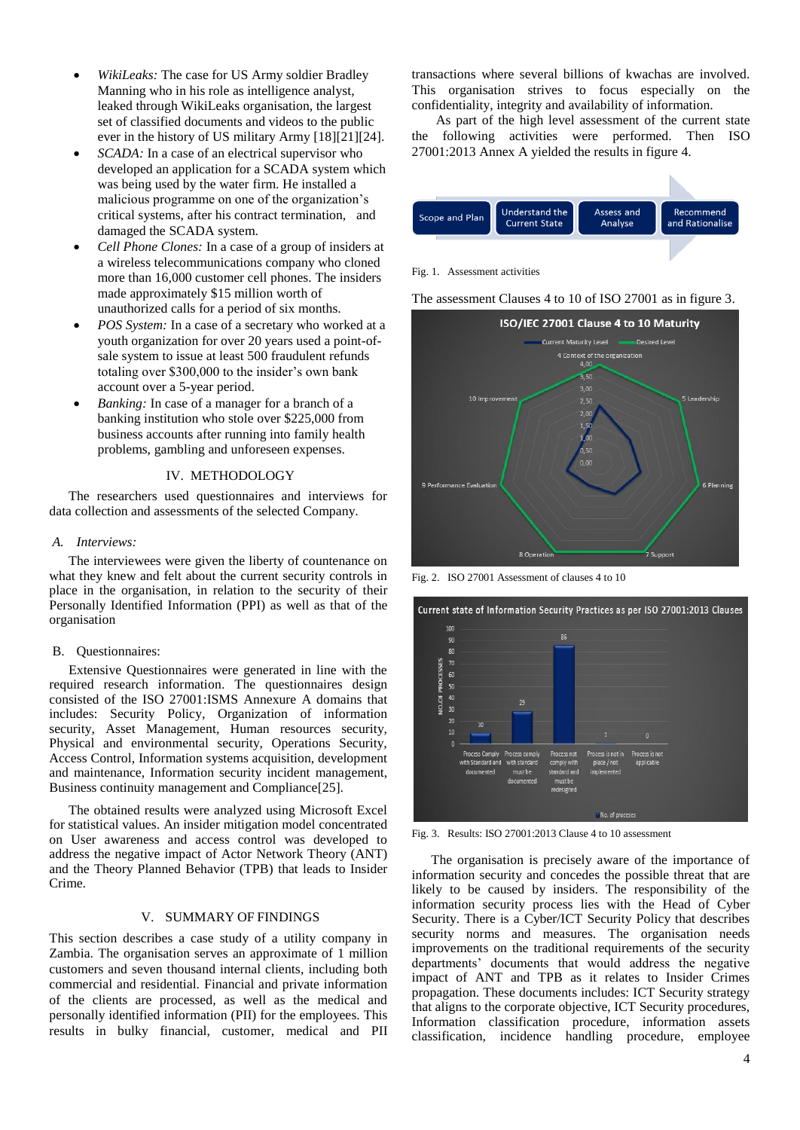- *WikiLeaks:* The case for US Army soldier Bradley Manning who in his role as intelligence analyst, leaked through WikiLeaks organisation, the largest set of classified documents and videos to the public ever in the history of US military Army [18][21][24].
- *SCADA:* In a case of an electrical supervisor who developed an application for a SCADA system which was being used by the water firm. He installed a malicious programme on one of the organization's critical systems, after his contract termination, and damaged the SCADA system.
- *Cell Phone Clones:* In a case of a group of insiders at a wireless telecommunications company who cloned more than 16,000 customer cell phones. The insiders made approximately \$15 million worth of unauthorized calls for a period of six months.
- *POS System:* In a case of a secretary who worked at a youth organization for over 20 years used a point-ofsale system to issue at least 500 fraudulent refunds totaling over \$300,000 to the insider's own bank account over a 5-year period.
- *Banking:* In case of a manager for a branch of a banking institution who stole over \$225,000 from business accounts after running into family health problems, gambling and unforeseen expenses.

## IV. METHODOLOGY

The researchers used questionnaires and interviews for data collection and assessments of the selected Company.

#### *A. Interviews:*

The interviewees were given the liberty of countenance on what they knew and felt about the current security controls in place in the organisation, in relation to the security of their Personally Identified Information (PPI) as well as that of the organisation

### B. Questionnaires:

Extensive Questionnaires were generated in line with the required research information. The questionnaires design consisted of the ISO 27001:ISMS Annexure A domains that includes: Security Policy, Organization of information security, Asset Management, Human resources security, Physical and environmental security, Operations Security, Access Control, Information systems acquisition, development and maintenance, Information security incident management, Business continuity management and Compliance[25].

The obtained results were analyzed using Microsoft Excel for statistical values. An insider mitigation model concentrated on User awareness and access control was developed to address the negative impact of Actor Network Theory (ANT) and the Theory Planned Behavior (TPB) that leads to Insider Crime.

## V. SUMMARY OF FINDINGS

This section describes a case study of a utility company in Zambia. The organisation serves an approximate of 1 million customers and seven thousand internal clients, including both commercial and residential. Financial and private information of the clients are processed, as well as the medical and personally identified information (PII) for the employees. This results in bulky financial, customer, medical and PII

transactions where several billions of kwachas are involved. This organisation strives to focus especially on the confidentiality, integrity and availability of information.

As part of the high level assessment of the current state the following activities were performed. Then ISO 27001:2013 Annex A yielded the results in figure 4.



Fig. 1. Assessment activities

The assessment Clauses 4 to 10 of ISO 27001 as in figure 3.



Fig. 2. ISO 27001 Assessment of clauses 4 to 10



Fig. 3. Results: ISO 27001:2013 Clause 4 to 10 assessment

The organisation is precisely aware of the importance of information security and concedes the possible threat that are likely to be caused by insiders. The responsibility of the information security process lies with the Head of Cyber Security. There is a Cyber/ICT Security Policy that describes security norms and measures. The organisation needs improvements on the traditional requirements of the security departments' documents that would address the negative impact of ANT and TPB as it relates to Insider Crimes propagation. These documents includes: ICT Security strategy that aligns to the corporate objective, ICT Security procedures, Information classification procedure, information assets classification, incidence handling procedure, employee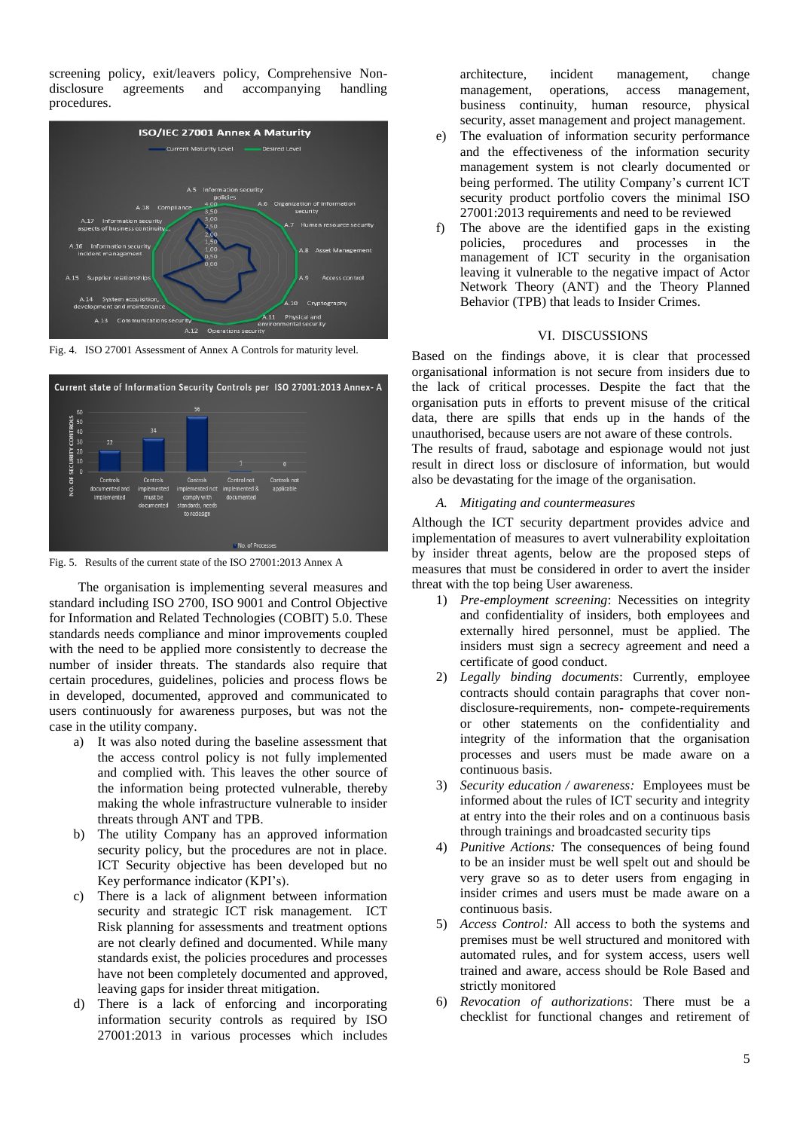screening policy, exit/leavers policy, Comprehensive Nondisclosure agreements and accompanying handling procedures.



Fig. 4. ISO 27001 Assessment of Annex A Controls for maturity level.



Fig. 5. Results of the current state of the ISO 27001:2013 Annex A

The organisation is implementing several measures and standard including ISO 2700, ISO 9001 and Control Objective for Information and Related Technologies (COBIT) 5.0. These standards needs compliance and minor improvements coupled with the need to be applied more consistently to decrease the number of insider threats. The standards also require that certain procedures, guidelines, policies and process flows be in developed, documented, approved and communicated to users continuously for awareness purposes, but was not the case in the utility company.

- a) It was also noted during the baseline assessment that the access control policy is not fully implemented and complied with. This leaves the other source of the information being protected vulnerable, thereby making the whole infrastructure vulnerable to insider threats through ANT and TPB.
- b) The utility Company has an approved information security policy, but the procedures are not in place. ICT Security objective has been developed but no Key performance indicator (KPI's).
- c) There is a lack of alignment between information security and strategic ICT risk management. ICT Risk planning for assessments and treatment options are not clearly defined and documented. While many standards exist, the policies procedures and processes have not been completely documented and approved, leaving gaps for insider threat mitigation.
- d) There is a lack of enforcing and incorporating information security controls as required by ISO 27001:2013 in various processes which includes

architecture, incident management, change management, operations, access management, business continuity, human resource, physical security, asset management and project management.

- e) The evaluation of information security performance and the effectiveness of the information security management system is not clearly documented or being performed. The utility Company's current ICT security product portfolio covers the minimal ISO 27001:2013 requirements and need to be reviewed
- f) The above are the identified gaps in the existing policies, procedures and processes in the management of ICT security in the organisation leaving it vulnerable to the negative impact of Actor Network Theory (ANT) and the Theory Planned Behavior (TPB) that leads to Insider Crimes.

# VI. DISCUSSIONS

Based on the findings above, it is clear that processed organisational information is not secure from insiders due to the lack of critical processes. Despite the fact that the organisation puts in efforts to prevent misuse of the critical data, there are spills that ends up in the hands of the unauthorised, because users are not aware of these controls.

The results of fraud, sabotage and espionage would not just result in direct loss or disclosure of information, but would also be devastating for the image of the organisation.

#### *A. Mitigating and countermeasures*

Although the ICT security department provides advice and implementation of measures to avert vulnerability exploitation by insider threat agents, below are the proposed steps of measures that must be considered in order to avert the insider threat with the top being User awareness.

- 1) *Pre-employment screening*: Necessities on integrity and confidentiality of insiders, both employees and externally hired personnel, must be applied. The insiders must sign a secrecy agreement and need a certificate of good conduct.
- 2) *Legally binding documents*: Currently, employee contracts should contain paragraphs that cover nondisclosure-requirements, non- compete-requirements or other statements on the confidentiality and integrity of the information that the organisation processes and users must be made aware on a continuous basis.
- 3) *Security education / awareness:* Employees must be informed about the rules of ICT security and integrity at entry into the their roles and on a continuous basis through trainings and broadcasted security tips
- 4) *Punitive Actions:* The consequences of being found to be an insider must be well spelt out and should be very grave so as to deter users from engaging in insider crimes and users must be made aware on a continuous basis.
- 5) *Access Control:* All access to both the systems and premises must be well structured and monitored with automated rules, and for system access, users well trained and aware, access should be Role Based and strictly monitored
- 6) *Revocation of authorizations*: There must be a checklist for functional changes and retirement of